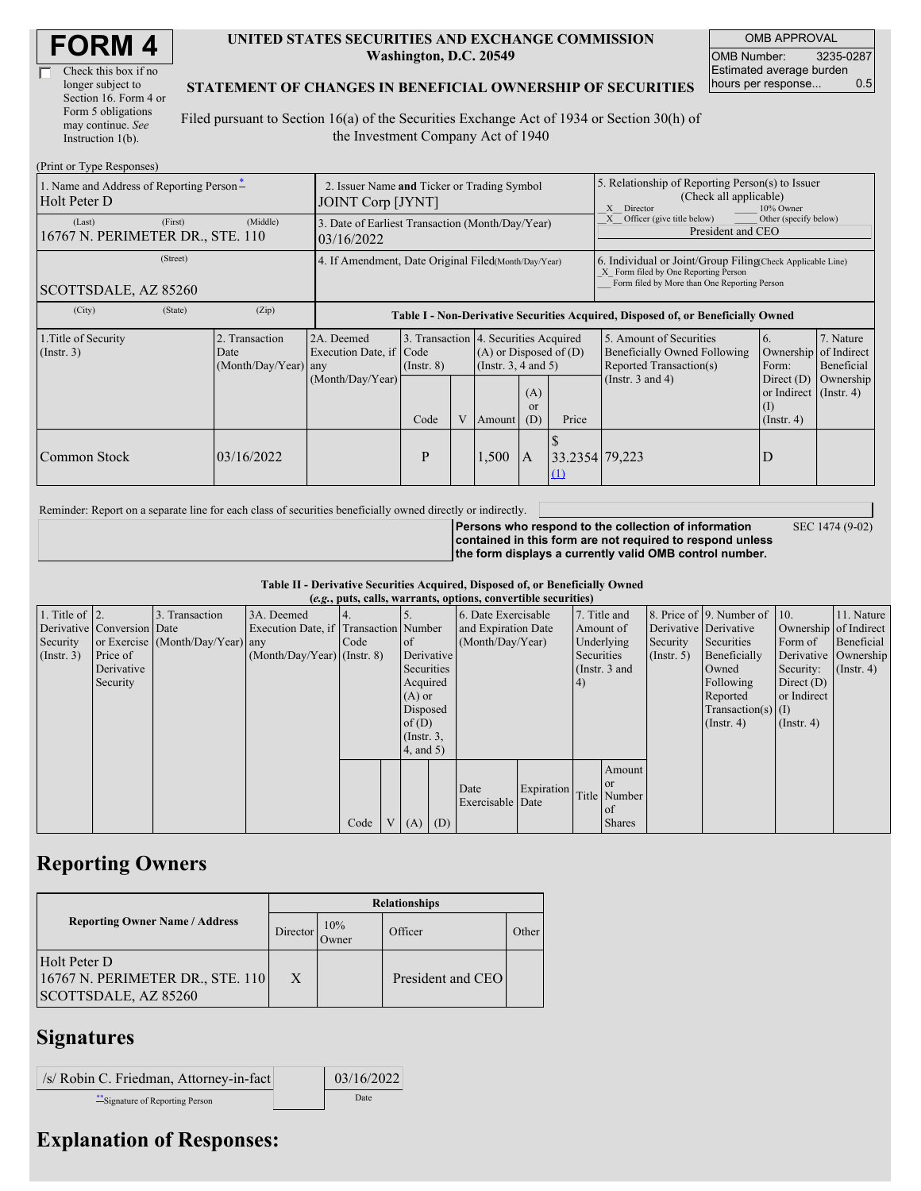| Check this box if no  |
|-----------------------|
| longer subject to     |
| Section 16. Form 4 or |
| Form 5 obligations    |
| may continue. See     |
| Instruction 1(b).     |

#### **UNITED STATES SECURITIES AND EXCHANGE COMMISSION Washington, D.C. 20549**

OMB APPROVAL OMB Number: 3235-0287 Estimated average burden hours per response... 0.5

SEC 1474 (9-02)

### **STATEMENT OF CHANGES IN BENEFICIAL OWNERSHIP OF SECURITIES**

Filed pursuant to Section 16(a) of the Securities Exchange Act of 1934 or Section 30(h) of the Investment Company Act of 1940

| (Print or Type Responses)                                |                                                                  |                                                                |                 |  |        |                                                                                             |                                                                                                                                                    |                                                                                    |                                                                   |                         |  |
|----------------------------------------------------------|------------------------------------------------------------------|----------------------------------------------------------------|-----------------|--|--------|---------------------------------------------------------------------------------------------|----------------------------------------------------------------------------------------------------------------------------------------------------|------------------------------------------------------------------------------------|-------------------------------------------------------------------|-------------------------|--|
| 1. Name and Address of Reporting Person-<br>Holt Peter D | 2. Issuer Name and Ticker or Trading Symbol<br>JOINT Corp [JYNT] |                                                                |                 |  |        |                                                                                             | 5. Relationship of Reporting Person(s) to Issuer<br>(Check all applicable)<br>10% Owner<br>X Director                                              |                                                                                    |                                                                   |                         |  |
| (First)<br>(Last)<br>16767 N. PERIMETER DR., STE. 110    | (Middle)                                                         | 3. Date of Earliest Transaction (Month/Day/Year)<br>03/16/2022 |                 |  |        |                                                                                             |                                                                                                                                                    | Officer (give title below)<br>Other (specify below)<br>President and CEO           |                                                                   |                         |  |
| (Street)<br>SCOTTSDALE, AZ 85260                         | 4. If Amendment, Date Original Filed(Month/Day/Year)             |                                                                |                 |  |        |                                                                                             | 6. Individual or Joint/Group Filing Check Applicable Line)<br>X Form filed by One Reporting Person<br>Form filed by More than One Reporting Person |                                                                                    |                                                                   |                         |  |
| (City)<br>(State)                                        | (Zip)                                                            |                                                                |                 |  |        |                                                                                             |                                                                                                                                                    | Table I - Non-Derivative Securities Acquired, Disposed of, or Beneficially Owned   |                                                                   |                         |  |
| 1. Title of Security<br>$($ Instr. 3 $)$                 | 2. Transaction<br>Date<br>(Month/Day/Year) any                   | 2A. Deemed<br>Execution Date, if Code                          | $($ Instr. $8)$ |  |        | 3. Transaction 4. Securities Acquired<br>$(A)$ or Disposed of $(D)$<br>(Insert. 3, 4 and 5) |                                                                                                                                                    | 5. Amount of Securities<br>Beneficially Owned Following<br>Reported Transaction(s) | 6.<br>Ownership of Indirect<br>Form:                              | 7. Nature<br>Beneficial |  |
|                                                          |                                                                  | (Month/Day/Year)                                               | Code            |  | Amount | (A)<br>or<br>(D)                                                                            | Price                                                                                                                                              | (Instr. $3$ and $4$ )                                                              | Direct $(D)$<br>or Indirect (Instr. 4)<br>(I)<br>$($ Instr. 4 $)$ | Ownership               |  |
| Common Stock                                             | 03/16/2022                                                       |                                                                | P               |  | 1,500  | 1A                                                                                          | 33.2354 79,223<br>(1)                                                                                                                              |                                                                                    | D                                                                 |                         |  |

Reminder: Report on a separate line for each class of securities beneficially owned directly or indirectly.

**Persons who respond to the collection of information contained in this form are not required to respond unless the form displays a currently valid OMB control number.**

**Table II - Derivative Securities Acquired, Disposed of, or Beneficially Owned**

| (e.g., puts, calls, warrants, options, convertible securities) |                            |                                  |                                       |      |  |                 |  |                     |            |            |               |             |                              |                       |                      |
|----------------------------------------------------------------|----------------------------|----------------------------------|---------------------------------------|------|--|-----------------|--|---------------------|------------|------------|---------------|-------------|------------------------------|-----------------------|----------------------|
| 1. Title of $\vert$ 2.                                         |                            | 3. Transaction                   | 3A. Deemed                            |      |  |                 |  | 6. Date Exercisable |            |            | 7. Title and  |             | 8. Price of 9. Number of 10. |                       | 11. Nature           |
|                                                                | Derivative Conversion Date |                                  | Execution Date, if Transaction Number |      |  |                 |  | and Expiration Date |            | Amount of  |               |             | Derivative Derivative        | Ownership of Indirect |                      |
| Security                                                       |                            | or Exercise (Month/Day/Year) any |                                       | Code |  | <sub>of</sub>   |  | (Month/Day/Year)    |            | Underlying |               | Security    | Securities                   | Form of               | Beneficial           |
| $($ Instr. 3 $)$                                               | Price of                   |                                  | $(Month/Day/Year)$ (Instr. 8)         |      |  | Derivative      |  |                     |            | Securities |               | (Insert, 5) | Beneficially                 |                       | Derivative Ownership |
|                                                                | Derivative                 |                                  |                                       |      |  | Securities      |  |                     |            |            | (Instr. 3 and |             | Owned                        | Security:             | $($ Instr. 4 $)$     |
|                                                                | Security                   |                                  |                                       |      |  | Acquired        |  |                     |            | 4)         |               |             | Following                    | Direct $(D)$          |                      |
|                                                                |                            |                                  |                                       |      |  | $(A)$ or        |  |                     |            |            |               |             | Reported                     | or Indirect           |                      |
|                                                                |                            |                                  |                                       |      |  | Disposed        |  |                     |            |            |               |             | Transaction(s) $(I)$         |                       |                      |
|                                                                |                            |                                  |                                       |      |  | of(D)           |  |                     |            |            |               |             | $($ Instr. 4 $)$             | $($ Instr. 4 $)$      |                      |
|                                                                |                            |                                  |                                       |      |  | $($ Instr. $3,$ |  |                     |            |            |               |             |                              |                       |                      |
|                                                                |                            |                                  |                                       |      |  | $4$ , and $5$ ) |  |                     |            |            |               |             |                              |                       |                      |
|                                                                |                            |                                  |                                       |      |  |                 |  |                     |            |            | Amount        |             |                              |                       |                      |
|                                                                |                            |                                  |                                       |      |  |                 |  |                     |            |            | <sub>or</sub> |             |                              |                       |                      |
|                                                                |                            |                                  |                                       |      |  |                 |  | Date                | Expiration |            | Title Number  |             |                              |                       |                      |
|                                                                |                            |                                  |                                       |      |  |                 |  | Exercisable Date    |            |            | of            |             |                              |                       |                      |
|                                                                |                            |                                  |                                       | Code |  | $V(A)$ (D)      |  |                     |            |            | <b>Shares</b> |             |                              |                       |                      |

## **Reporting Owners**

|                                                                          | <b>Relationships</b> |              |                   |       |  |  |  |  |
|--------------------------------------------------------------------------|----------------------|--------------|-------------------|-------|--|--|--|--|
| <b>Reporting Owner Name / Address</b>                                    | Director             | 10%<br>Owner | Officer           | Other |  |  |  |  |
| Holt Peter D<br>16767 N. PERIMETER DR., STE. 110<br>SCOTTSDALE, AZ 85260 | X                    |              | President and CEO |       |  |  |  |  |

# **Signatures**

| /s/ Robin C. Friedman, Attorney-in-fact | 03/16/2022 |
|-----------------------------------------|------------|
| Signature of Reporting Person           | Date       |

# **Explanation of Responses:**